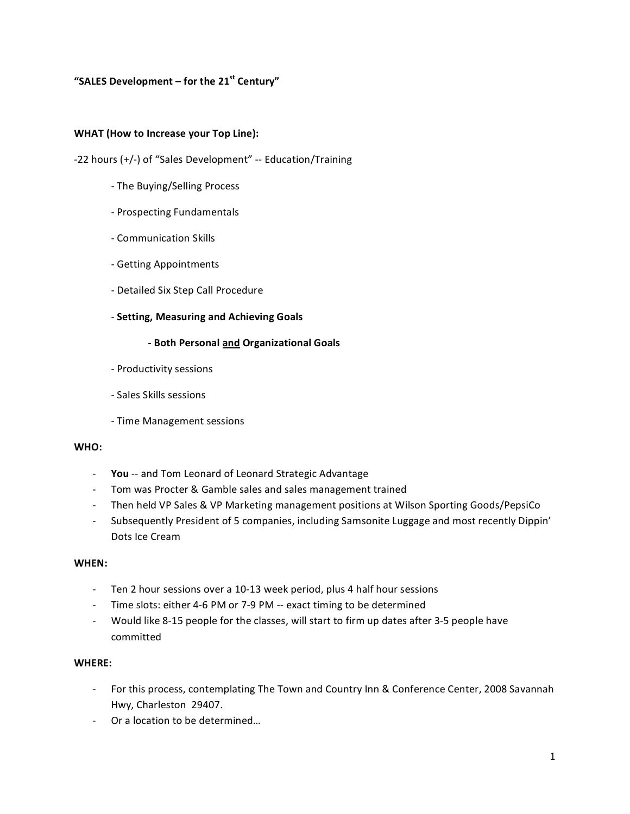# **"SALES
Development –
for
the
21st
Century"**

#### WHAT (How to Increase your Top Line):

‐22
hours
(+/‐)
of
"Sales
Development" ‐‐
Education/Training

- ‐
The
Buying/Selling
Process
- ‐
Prospecting
Fundamentals
- ‐
Communication
Skills
- ‐
Getting
Appointments
- ‐
Detailed
Six
Step
Call
Procedure
- ‐ **Setting,
Measuring
and
Achieving
Goals**

### **‐
Both
Personal
and
Organizational
Goals**

- ‐
Productivity
sessions
- ‐
Sales
Skills
sessions
- ‐
Time
Management
sessions

### **WHO:**

- You -- and Tom Leonard of Leonard Strategic Advantage
- ‐ Tom
was
Procter
&
Gamble
sales
and
sales
management
trained
- Then held VP Sales & VP Marketing management positions at Wilson Sporting Goods/PepsiCo
- Subsequently President of 5 companies, including Samsonite Luggage and most recently Dippin' Dots
Ice
Cream

#### **WHEN:**

- Ten 2 hour sessions over a 10-13 week period, plus 4 half hour sessions
- Time slots: either 4-6 PM or 7-9 PM -- exact timing to be determined
- Would like 8-15 people for the classes, will start to firm up dates after 3-5 people have committed

#### **WHERE:**

- For this process, contemplating The Town and Country Inn & Conference Center, 2008 Savannah Hwy,
Charleston

29407.
- ‐ Or
a
location
to
be
determined…